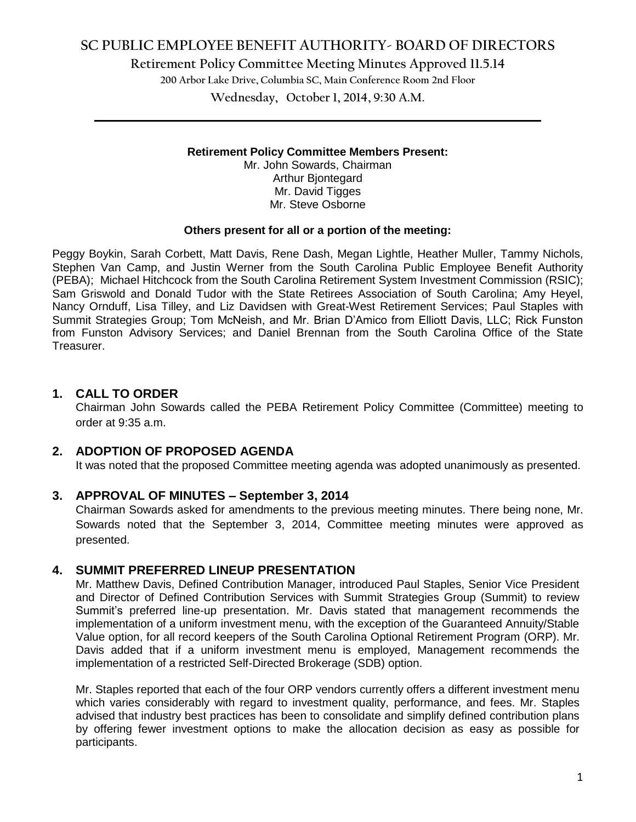# **SC PUBLIC EMPLOYEE BENEFIT AUTHORITY- BOARD OF DIRECTORS**

**Retirement Policy Committee Meeting Minutes Approved 11.5.14**

**200 Arbor Lake Drive, Columbia SC, Main Conference Room 2nd Floor**

**Wednesday, October 1, 2014, 9:30 A.M. \_\_\_\_\_\_\_\_\_\_\_\_\_\_\_\_\_\_\_\_\_\_\_\_\_\_\_\_\_\_\_\_\_\_\_\_\_\_\_\_\_\_\_\_\_\_\_\_\_\_\_\_\_\_\_\_\_\_\_\_\_\_\_\_\_\_\_\_\_\_\_\_**

#### **Retirement Policy Committee Members Present:**

Mr. John Sowards, Chairman Arthur Bjontegard Mr. David Tigges Mr. Steve Osborne

#### **Others present for all or a portion of the meeting:**

Peggy Boykin, Sarah Corbett, Matt Davis, Rene Dash, Megan Lightle, Heather Muller, Tammy Nichols, Stephen Van Camp, and Justin Werner from the South Carolina Public Employee Benefit Authority (PEBA); Michael Hitchcock from the South Carolina Retirement System Investment Commission (RSIC); Sam Griswold and Donald Tudor with the State Retirees Association of South Carolina; Amy Heyel, Nancy Ornduff, Lisa Tilley, and Liz Davidsen with Great-West Retirement Services; Paul Staples with Summit Strategies Group; Tom McNeish, and Mr. Brian D'Amico from Elliott Davis, LLC; Rick Funston from Funston Advisory Services; and Daniel Brennan from the South Carolina Office of the State Treasurer.

## **1. CALL TO ORDER**

Chairman John Sowards called the PEBA Retirement Policy Committee (Committee) meeting to order at 9:35 a.m.

## **2. ADOPTION OF PROPOSED AGENDA**

It was noted that the proposed Committee meeting agenda was adopted unanimously as presented.

### **3. APPROVAL OF MINUTES – September 3, 2014**

Chairman Sowards asked for amendments to the previous meeting minutes. There being none, Mr. Sowards noted that the September 3, 2014, Committee meeting minutes were approved as presented.

### **4. SUMMIT PREFERRED LINEUP PRESENTATION**

Mr. Matthew Davis, Defined Contribution Manager, introduced Paul Staples, Senior Vice President and Director of Defined Contribution Services with Summit Strategies Group (Summit) to review Summit's preferred line-up presentation. Mr. Davis stated that management recommends the implementation of a uniform investment menu, with the exception of the Guaranteed Annuity/Stable Value option, for all record keepers of the South Carolina Optional Retirement Program (ORP). Mr. Davis added that if a uniform investment menu is employed, Management recommends the implementation of a restricted Self-Directed Brokerage (SDB) option.

Mr. Staples reported that each of the four ORP vendors currently offers a different investment menu which varies considerably with regard to investment quality, performance, and fees. Mr. Staples advised that industry best practices has been to consolidate and simplify defined contribution plans by offering fewer investment options to make the allocation decision as easy as possible for participants.